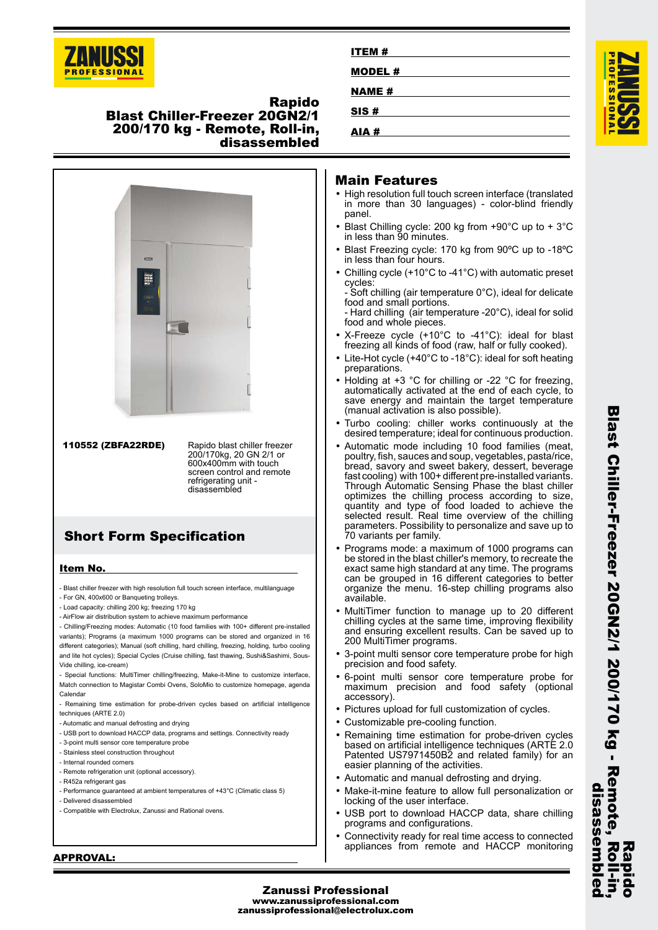

**Rapido**

# **Blast Chiller-Freezer 20GN2/1 200/170 kg - Remote, Roll-in, disassembled**



**110552 (ZBFA22RDE)** Rapido blast chiller freezer 200/170kg, 20 GN 2/1 or 600x400mm with touch screen control and remote refrigerating unit disassembled

# **Short Form Specification**

## **Item No.**

- Blast chiller freezer with high resolution full touch screen interface, multilanguage
- For GN, 400x600 or Banqueting trolleys.
- Load capacity: chilling 200 kg; freezing 170 kg - AirFlow air distribution system to achieve maximum performance
- Chilling/Freezing modes: Automatic (10 food families with 100+ different pre-installed variants); Programs (a maximum 1000 programs can be stored and organized in 16 different categories); Manual (soft chilling, hard chilling, freezing, holding, turbo cooling and lite hot cycles); Special Cycles (Cruise chilling, fast thawing, Sushi&Sashimi, Sous-Vide chilling, ice-cream)

- Special functions: MultiTimer chilling/freezing, Make-it-Mine to customize interface, Match connection to Magistar Combi Ovens, SoloMio to customize homepage, agenda Calendar

- Remaining time estimation for probe-driven cycles based on artificial intelligence techniques (ARTE 2.0)

- Automatic and manual defrosting and drying

- USB port to download HACCP data, programs and settings. Connectivity ready
- 3-point multi sensor core temperature probe
- Stainless steel construction throughout
- Internal rounded corners
- Remote refrigeration unit (optional accessory)
- R452a refrigerant gas
- Performance guaranteed at ambient temperatures of +43°C (Climatic class 5)
- Delivered disassembled
- Compatible with Electrolux, Zanussi and Rational ovens.

# **ITEM # MODEL # NAME # SIS #**



# **Main Features**

- High resolution full touch screen interface (translated in more than 30 languages) - color-blind friendly panel.
- Blast Chilling cycle: 200 kg from +90°C up to + 3°C in less than 90 minutes.
- Blast Freezing cycle: 170 kg from 90ºC up to -18ºC in less than four hours.
- • Chilling cycle (+10°C to -41°C) with automatic preset cycles:
- Soft chilling (air temperature 0°C), ideal for delicate food and small portions.
- Hard chilling (air temperature -20°C), ideal for solid food and whole pieces.
- • X-Freeze cycle (+10°C to -41°C): ideal for blast freezing all kinds of food (raw, half or fully cooked).
- Lite-Hot cycle (+40°C to -18°C): ideal for soft heating preparations.
- Holding at +3 °C for chilling or -22 °C for freezing, automatically activated at the end of each cycle, to save energy and maintain the target temperature (manual activation is also possible).
- • Turbo cooling: chiller works continuously at the desired temperature; ideal for continuous production.
- • Automatic mode including 10 food families (meat, poultry, fish, sauces and soup, vegetables, pasta/rice, bread, savory and sweet bakery, dessert, beverage fast cooling) with 100+ different pre-installed variants. Through Automatic Sensing Phase the blast chiller optimizes the chilling process according to size, quantity and type of food loaded to achieve the selected result. Real time overview of the chilling parameters. Possibility to personalize and save up to 70 variants per family.
- Programs mode: a maximum of 1000 programs can be stored in the blast chiller's memory, to recreate the exact same high standard at any time. The programs can be grouped in 16 different categories to better organize the menu. 16-step chilling programs also available.
- MultiTimer function to manage up to 20 different chilling cycles at the same time, improving flexibility and ensuring excellent results. Can be saved up to 200 MultiTimer programs.
- • 3-point multi sensor core temperature probe for high precision and food safety.
- • 6-point multi sensor core temperature probe for maximum precision and food safety (optional accessory).
- Pictures upload for full customization of cycles.
- •Customizable pre-cooling function.
- • Remaining time estimation for probe-driven cycles based on artificial intelligence techniques (ARTE 2.0 Patented US7971450B2 and related family) for an easier planning of the activities.
- Automatic and manual defrosting and drying.
- Make-it-mine feature to allow full personalization or locking of the user interface.
- • USB port to download HACCP data, share chilling programs and configurations.
- • Connectivity ready for real time access to connected appliances from remote and HACCP monitoring

#### **APPROVAL:**

#### **Zanussi Professional www.zanussiprofessional.com zanussiprofessional@electrolux.com**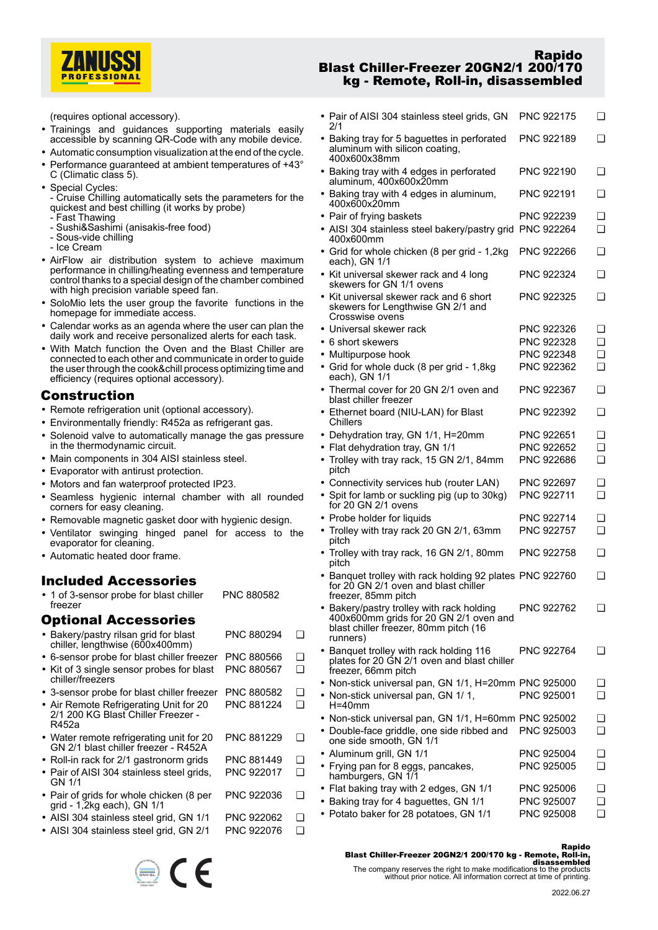

(requires optional accessory).

- Trainings and guidances supporting materials easily accessible by scanning QR-Code with any mobile device.
- Automatic consumption visualization at the end of the cycle.
- • Performance guaranteed at ambient temperatures of +43° C (Climatic class 5).
- Special Cycles:
- Cruise Chilling automatically sets the parameters for the quickest and best chilling (it works by probe)
- Fast Thawing
- Sushi&Sashimi (anisakis-free food)
- Sous-vide chilling
- Ice Cream
- AirFlow air distribution system to achieve maximum performance in chilling/heating evenness and temperature control thanks to a special design of the chamber combined with high precision variable speed fan.
- SoloMio lets the user group the favorite functions in the homepage for immediate access.
- Calendar works as an agenda where the user can plan the daily work and receive personalized alerts for each task.
- With Match function the Oven and the Blast Chiller are connected to each other and communicate in order to guide the user through the cook&chill process optimizing time and efficiency (requires optional accessory).

# **Construction**

- Remote refrigeration unit (optional accessory).
- Environmentally friendly: R452a as refrigerant gas.
- • Solenoid valve to automatically manage the gas pressure in the thermodynamic circuit.
- Main components in 304 AISI stainless steel.
- Evaporator with antirust protection.
- Motors and fan waterproof protected IP23.
- Seamless hygienic internal chamber with all rounded corners for easy cleaning.
- Removable magnetic gasket door with hygienic design.
- • Ventilator swinging hinged panel for access to the evaporator for cleaning.
- Automatic heated door frame.

# **Included Accessories**

• 1 of 3-sensor probe for blast chiller freezer PNC 880582

# **Optional Accessories**

• Bakery/pastry rilsan grid for blast chiller, lengthwise (600x400mm) PNC 880294 ❑ • 6-sensor probe for blast chiller freezer PNC 880566 ❑ • Kit of 3 single sensor probes for blast chiller/freezers PNC 880567 ❑ • 3-sensor probe for blast chiller freezer PNC 880582 ❑ • Air Remote Refrigerating Unit for 20 2/1 200 KG Blast Chiller Freezer - R452a PNC 881224 ❑ • Water remote refrigerating unit for 20 GN 2/1 blast chiller freezer - R452A PNC 881229 ❑ • Roll-in rack for 2/1 gastronorm grids PNC 881449 ❑ • Pair of AISI 304 stainless steel grids, GN 1/1 PNC 922017 ❑ • Pair of grids for whole chicken (8 per grid - 1,2kg each), GN 1/1 PNC 922036 ❑ • AISI 304 stainless steel grid, GN 1/1 PNC 922062 ❑ • AISI 304 stainless steel grid, GN 2/1 PNC 922076 ❑

## **Rapido Blast Chiller-Freezer 20GN2/1 200/170 kg - Remote, Roll-in, disassembled**

| • Pair of AISI 304 stainless steel grids, GN<br>2/1                                                                                    | PNC 922175 | ❏        |
|----------------------------------------------------------------------------------------------------------------------------------------|------------|----------|
| • Baking tray for 5 baguettes in perforated<br>aluminum with silicon coating,<br>400x600x38mm                                          | PNC 922189 | ❏        |
| • Baking tray with 4 edges in perforated<br>aluminum, 400x600x20mm                                                                     | PNC 922190 | ❏        |
| • Baking tray with 4 edges in aluminum,<br>400x600x20mm                                                                                | PNC 922191 | ❏        |
| • Pair of frying baskets                                                                                                               | PNC 922239 | ❏        |
| • AISI 304 stainless steel bakery/pastry grid PNC 922264<br>400x600mm                                                                  |            | ❏        |
| • Grid for whole chicken (8 per grid - 1,2kg<br>each), GN 1/1                                                                          | PNC 922266 | ❏        |
| • Kit universal skewer rack and 4 long<br>skewers for GN 1/1 ovens                                                                     | PNC 922324 | ❏        |
| • Kit universal skewer rack and 6 short<br>skewers for Lengthwise GN 2/1 and<br>Crosswise ovens                                        | PNC 922325 | ❏        |
| • Universal skewer rack                                                                                                                | PNC 922326 | ❏        |
| • 6 short skewers                                                                                                                      | PNC 922328 | <b>□</b> |
| • Multipurpose hook                                                                                                                    | PNC 922348 | <b>□</b> |
| • Grid for whole duck (8 per grid - 1,8kg<br>each), GN 1/1                                                                             | PNC 922362 | $\Box$   |
| • Thermal cover for 20 GN 2/1 oven and<br>blast chiller freezer                                                                        | PNC 922367 | ❏        |
| • Ethernet board (NIU-LAN) for Blast<br>Chillers                                                                                       | PNC 922392 | ❏        |
| • Dehydration tray, GN 1/1, H=20mm                                                                                                     | PNC 922651 | ❏        |
| • Flat dehydration tray, GN 1/1                                                                                                        | PNC 922652 | <b>□</b> |
| • Trolley with tray rack, 15 GN 2/1, 84mm<br>pitch                                                                                     | PNC 922686 | $\Box$   |
| • Connectivity services hub (router LAN)                                                                                               | PNC 922697 | ❏        |
| • Spit for lamb or suckling pig (up to 30kg)<br>for 20 GN 2/1 ovens                                                                    | PNC 922711 | <b>□</b> |
| • Probe holder for liquids                                                                                                             | PNC 922714 | ❏        |
| • Trolley with tray rack 20 GN 2/1, 63mm<br>pitch                                                                                      | PNC 922757 | ◻        |
| • Trolley with tray rack, 16 GN 2/1, 80mm<br>pitch                                                                                     | PNC 922758 | ❏        |
| • Banquet trolley with rack holding 92 plates PNC 922760<br>for 20 GN 2/1 oven and blast chiller<br>freezer, 85mm pitch                |            | ❏        |
| Bakery/pastry trolley with rack holding<br>400x600mm grids for 20 GN 2/1 oven and<br>blast chiller freezer, 80mm pitch (16<br>runners) | PNC 922762 | $\Box$   |
| • Banquet trolley with rack holding 116<br>plates for 20 GN 2/1 oven and blast chiller<br>freezer, 66mm pitch                          | PNC 922764 | ❏        |
| • Non-stick universal pan, GN 1/1, H=20mm PNC 925000                                                                                   |            | ❏        |
| • Non-stick universal pan, GN 1/1,<br>$H = 40$ mm                                                                                      | PNC 925001 | ∩        |
| • Non-stick universal pan, GN 1/1, H=60mm PNC 925002                                                                                   |            | ❏        |
| • Double-face griddle, one side ribbed and<br>one side smooth, GN 1/1                                                                  | PNC 925003 | ❏        |
| · Aluminum grill, GN 1/1                                                                                                               | PNC 925004 | ❏        |
| • Frying pan for 8 eggs, pancakes,<br>hamburgers, GN 1/1                                                                               | PNC 925005 | ❏        |
| • Flat baking tray with 2 edges, GN 1/1                                                                                                | PNC 925006 | ❏        |
| • Baking tray for 4 baguettes, GN 1/1                                                                                                  | PNC 925007 | ❏        |
|                                                                                                                                        |            |          |

• Potato baker for 28 potatoes, GN 1/1 PNC 925008 ❑

#### **Rapido**

**Blast Chiller-Freezer 20GN2/1 200/170 kg - Remote, Roll-in.**<br>disassembled<br>The company reserves the right to make modifications to the products<br>without prior notice. All information correct at time of printing.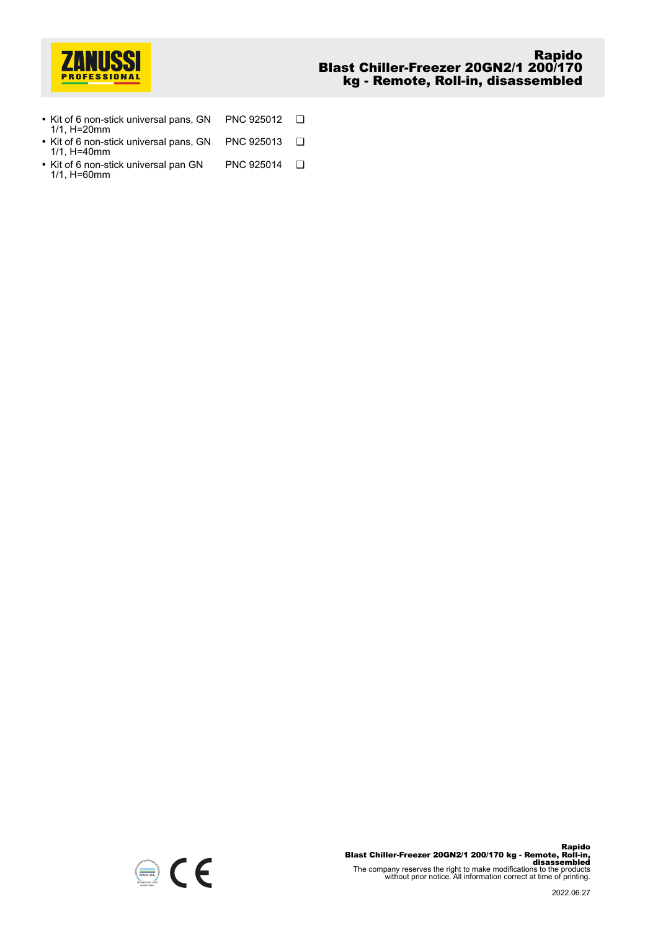

- Kit of 6 non-stick universal pans, GN 1/1, H=20mm PNC 925012 ❑ • Kit of 6 non-stick universal pans, GN 1/1, H=40mm PNC 925013 ❑
- Kit of 6 non-stick universal pan GN 1/1, H=60mm PNC 925014 ❑